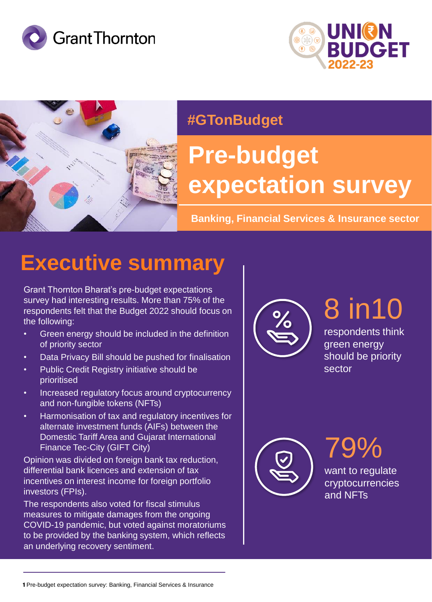





### **#GTonBudget**

### **Pre-budget expectation survey**

**Banking, Financial Services & Insurance sector**

### **Executive summary**

Grant Thornton Bharat's pre-budget expectations survey had interesting results. More than 75% of the respondents felt that the Budget 2022 should focus on the following:

- Green energy should be included in the definition of priority sector
- Data Privacy Bill should be pushed for finalisation
- Public Credit Registry initiative should be prioritised
- Increased regulatory focus around cryptocurrency and non-fungible tokens (NFTs)
- Harmonisation of tax and regulatory incentives for alternate investment funds (AIFs) between the Domestic Tariff Area and Gujarat International Finance Tec-City (GIFT City)

Opinion was divided on foreign bank tax reduction, differential bank licences and extension of tax incentives on interest income for foreign portfolio investors (FPIs).

The respondents also voted for fiscal stimulus measures to mitigate damages from the ongoing COVID-19 pandemic, but voted against moratoriums to be provided by the banking system, which reflects an underlying recovery sentiment.



### 8 in10

respondents think green energy should be priority sector



79% want to regulate cryptocurrencies

and NFTs

**1** Pre-budget expectation survey: Banking, Financial Services & Insurance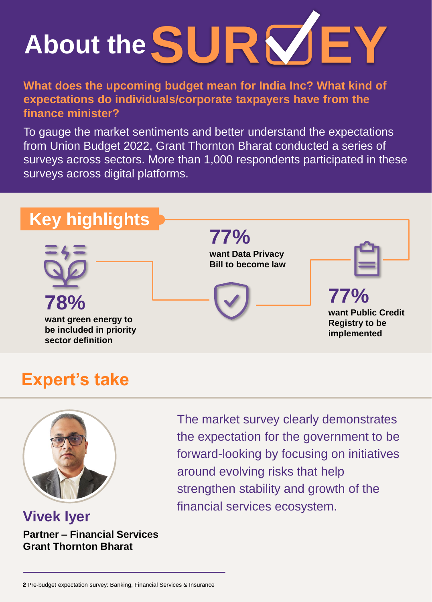### **About the SUR EY**

**What does the upcoming budget mean for India Inc? What kind of expectations do individuals/corporate taxpayers have from the finance minister?** 

To gauge the market sentiments and better understand the expectations from Union Budget 2022, Grant Thornton Bharat conducted a series of surveys across sectors. More than 1,000 respondents participated in these surveys across digital platforms.



### **Expert's take**



**Partner – Financial Services Grant Thornton Bharat Vivek Iyer**

The market survey clearly demonstrates the expectation for the government to be forward-looking by focusing on initiatives around evolving risks that help strengthen stability and growth of the financial services ecosystem.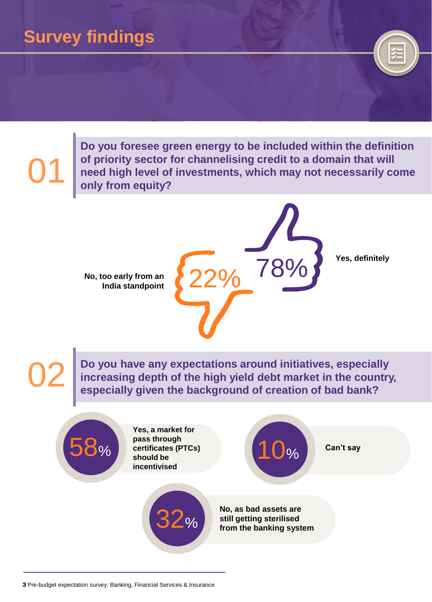### **Survey findings**

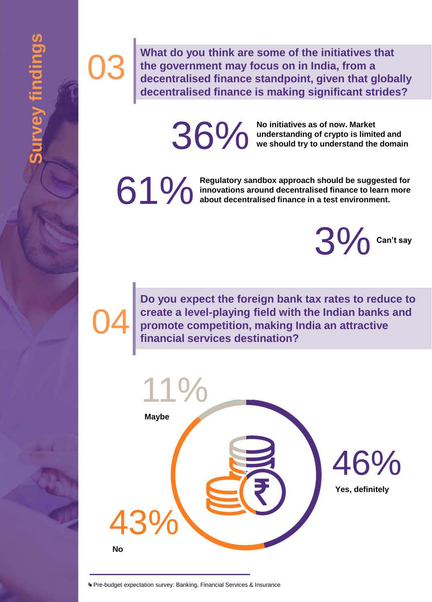**What do you think are some of the initiatives that the government may focus on in India, from a decentralised finance standpoint, given that globally decentralised finance is making significant strides?**

**No initiatives as of now. Market**<br> **36% We should try to understand the domain**<br> **36% We should try to understand the domain** 

**innovations around decentralised finance to learn more about decentralised finance in a test environment.** 



04

03

**Do you expect the foreign bank tax rates to reduce to create a level-playing field with the Indian banks and promote competition, making India an attractive financial services destination?**

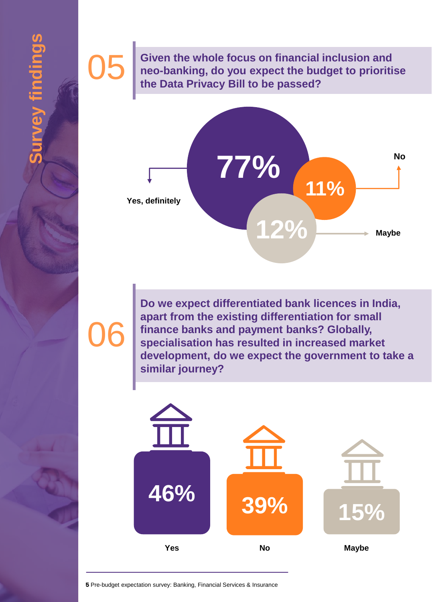05 **Given the whole focus on financial inclusion and neo-banking, do you expect the budget to prioritise the Data Privacy Bill to be passed?** 



## 06

**Survey findings**

**Irvey findings** 

**Do we expect differentiated bank licences in India, apart from the existing differentiation for small finance banks and payment banks? Globally, specialisation has resulted in increased market development, do we expect the government to take a similar journey?**

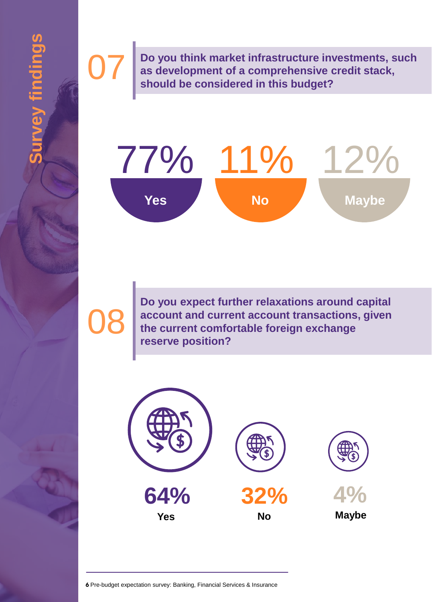**O7** Do you think market infrastructure investments, such<br>as development of a comprehensive credit stack,<br>should be considered in this budget? **as development of a comprehensive credit stack, should be considered in this budget?**



08

**Do you expect further relaxations around capital account and current account transactions, given the current comfortable foreign exchange reserve position?** 

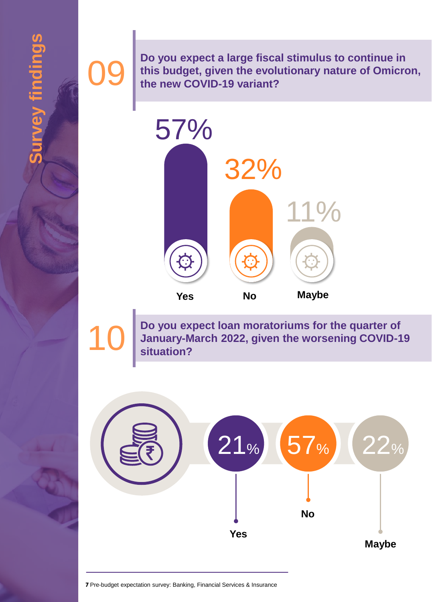# **Irvey findings Survey findings**

**Do you expect a large fiscal stimulus to continue in this budget, given the evolutionary nature of Omicro**<br>the new COVID-19 variant? **this budget, given the evolutionary nature of Omicron, the new COVID-19 variant?**



**Do you expect loan moratoriums for the quarter of January-March 2022, given the worsening COVID-19 situation?** 

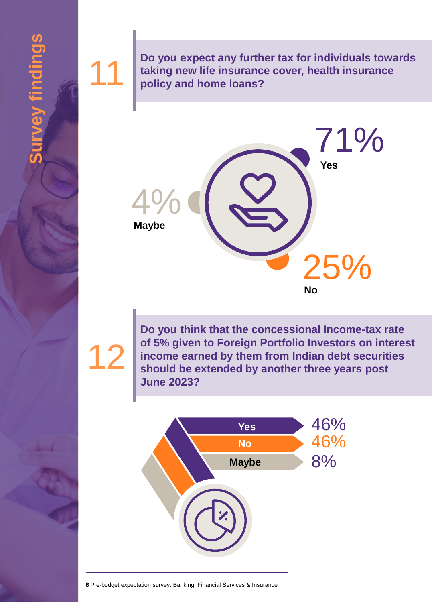**Irvey findings Survey findings**

**11 Do you expect any further tax for individuals towards taking new life insurance cover, health insurance policy and home loans? taking new life insurance cover, health insurance policy and home loans?**



12

**Do you think that the concessional Income-tax rate of 5% given to Foreign Portfolio Investors on interest income earned by them from Indian debt securities should be extended by another three years post June 2023?**

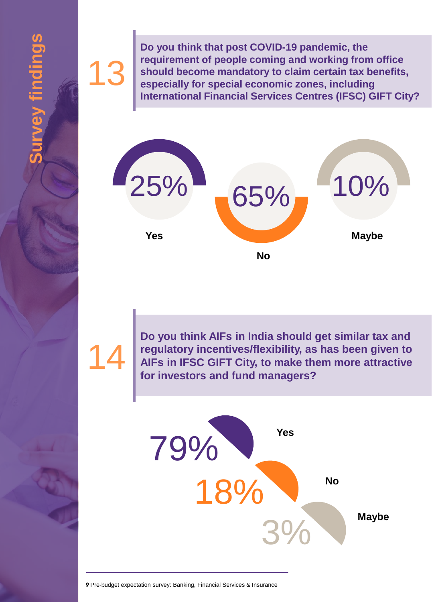13

**Do you think that post COVID-19 pandemic, the requirement of people coming and working from office should become mandatory to claim certain tax benefits, especially for special economic zones, including International Financial Services Centres (IFSC) GIFT City?** 



14

**Do you think AIFs in India should get similar tax and regulatory incentives/flexibility, as has been given to AIFs in IFSC GIFT City, to make them more attractive for investors and fund managers?** 

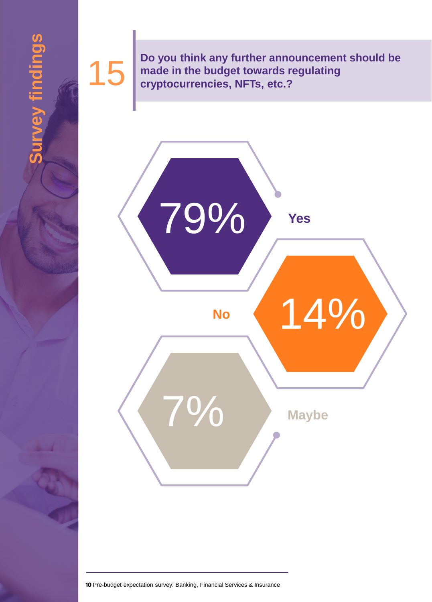## urvey findings **Survey findings**

**15 Do you think any further announcement should be made in the budget towards regulating cryptocurrencies. NFTs. etc.? made in the budget towards regulating cryptocurrencies, NFTs, etc.?** 

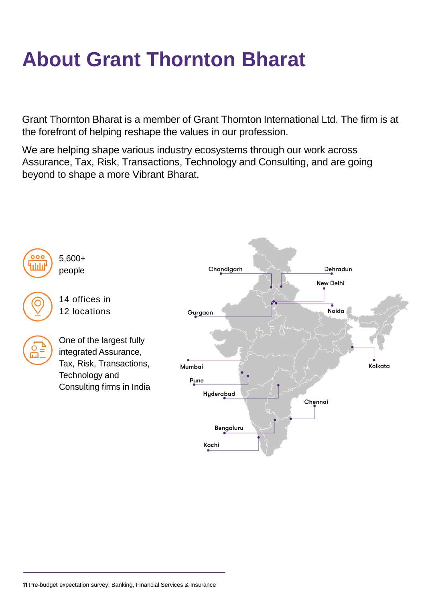### **About Grant Thornton Bharat**

Grant Thornton Bharat is a member of Grant Thornton International Ltd. The firm is at the forefront of helping reshape the values in our profession.

We are helping shape various industry ecosystems through our work across Assurance, Tax, Risk, Transactions, Technology and Consulting, and are going beyond to shape a more Vibrant Bharat.